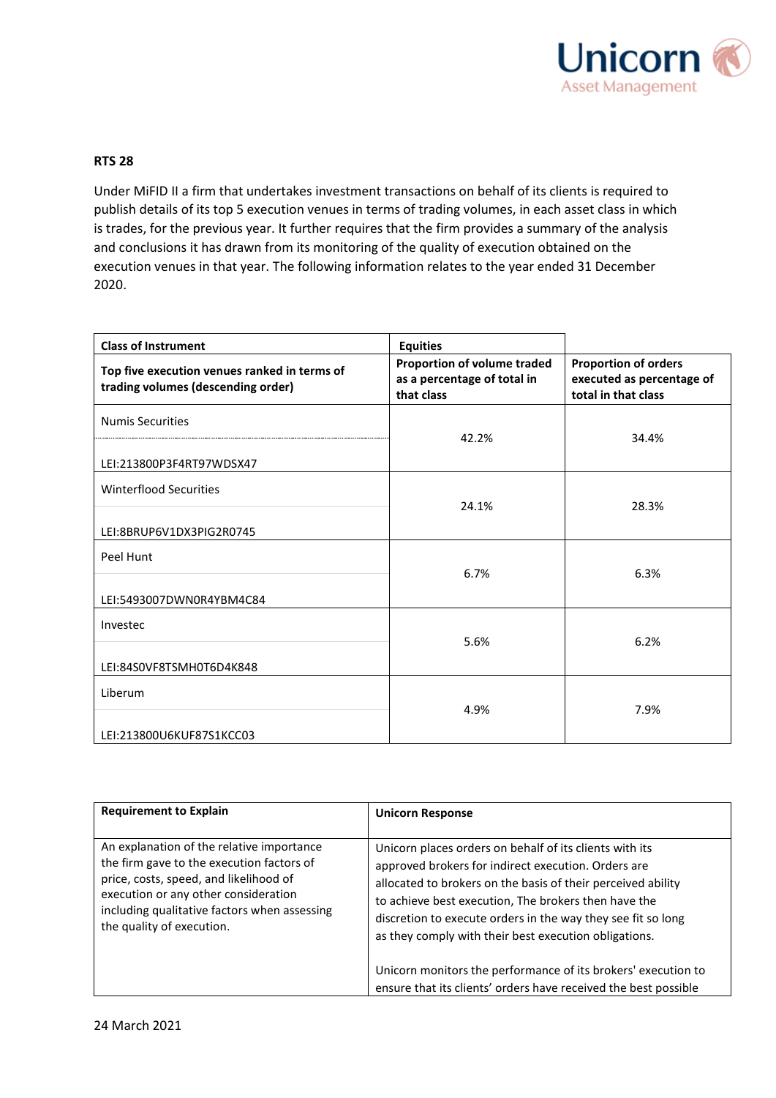

## **RTS 28**

Under MiFID II a firm that undertakes investment transactions on behalf of its clients is required to publish details of its top 5 execution venues in terms of trading volumes, in each asset class in which is trades, for the previous year. It further requires that the firm provides a summary of the analysis and conclusions it has drawn from its monitoring of the quality of execution obtained on the execution venues in that year. The following information relates to the year ended 31 December 2020.

| <b>Class of Instrument</b>                                                         | <b>Equities</b>                                                          |                                                                                 |
|------------------------------------------------------------------------------------|--------------------------------------------------------------------------|---------------------------------------------------------------------------------|
| Top five execution venues ranked in terms of<br>trading volumes (descending order) | Proportion of volume traded<br>as a percentage of total in<br>that class | <b>Proportion of orders</b><br>executed as percentage of<br>total in that class |
| <b>Numis Securities</b>                                                            | 42.2%                                                                    | 34.4%                                                                           |
| LEI:213800P3F4RT97WDSX47                                                           |                                                                          |                                                                                 |
| Winterflood Securities                                                             | 24.1%                                                                    | 28.3%                                                                           |
| LEI:8BRUP6V1DX3PIG2R0745                                                           |                                                                          |                                                                                 |
| Peel Hunt                                                                          | 6.7%                                                                     | 6.3%                                                                            |
| LEI:5493007DWN0R4YBM4C84                                                           |                                                                          |                                                                                 |
| Investec<br>LEI:84SOVF8TSMH0T6D4K848                                               | 5.6%                                                                     | 6.2%                                                                            |
|                                                                                    |                                                                          |                                                                                 |
| Liberum                                                                            | 4.9%                                                                     | 7.9%                                                                            |
| LEI:213800U6KUF87S1KCC03                                                           |                                                                          |                                                                                 |

| <b>Requirement to Explain</b>                                                                                                                                                                                                                         | <b>Unicorn Response</b>                                                                                                                                                                                                                                                                                                                                                                                                          |
|-------------------------------------------------------------------------------------------------------------------------------------------------------------------------------------------------------------------------------------------------------|----------------------------------------------------------------------------------------------------------------------------------------------------------------------------------------------------------------------------------------------------------------------------------------------------------------------------------------------------------------------------------------------------------------------------------|
| An explanation of the relative importance<br>the firm gave to the execution factors of<br>price, costs, speed, and likelihood of<br>execution or any other consideration<br>including qualitative factors when assessing<br>the quality of execution. | Unicorn places orders on behalf of its clients with its<br>approved brokers for indirect execution. Orders are<br>allocated to brokers on the basis of their perceived ability<br>to achieve best execution, The brokers then have the<br>discretion to execute orders in the way they see fit so long<br>as they comply with their best execution obligations.<br>Unicorn monitors the performance of its brokers' execution to |
|                                                                                                                                                                                                                                                       | ensure that its clients' orders have received the best possible                                                                                                                                                                                                                                                                                                                                                                  |